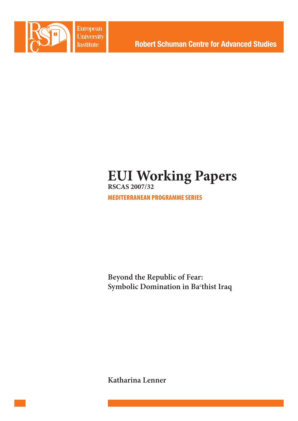

European University **Institute** 

**Robert Schuman Centre for Advanced Studies** 

# **EUI Working Papers RSCAS 2007/32**

MEDITERRANEAN PROGRAMME SERIES

**Beyond the Republic of Fear: Symbolic Domination in Bac thist Iraq**

**Katharina Lenner**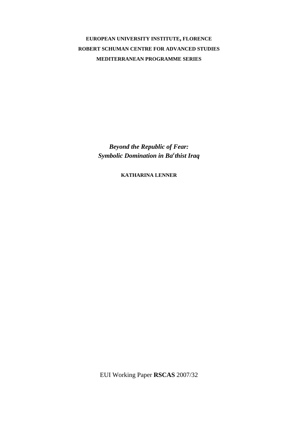**EUROPEAN UNIVERSITY INSTITUTE, FLORENCE ROBERT SCHUMAN CENTRE FOR ADVANCED STUDIES MEDITERRANEAN PROGRAMME SERIES**

> *Beyond the Republic of Fear: Symbolic Domination in Ba<sup>c</sup> thist Iraq*

> > **KATHARINA LENNER**

EUI Working Paper **RSCAS** 2007/32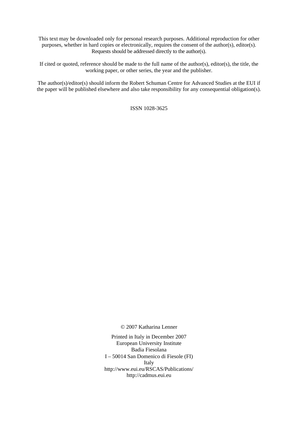This text may be downloaded only for personal research purposes. Additional reproduction for other purposes, whether in hard copies or electronically, requires the consent of the author(s), editor(s). Requests should be addressed directly to the author(s).

If cited or quoted, reference should be made to the full name of the author(s), editor(s), the title, the working paper, or other series, the year and the publisher.

The author(s)/editor(s) should inform the Robert Schuman Centre for Advanced Studies at the EUI if the paper will be published elsewhere and also take responsibility for any consequential obligation(s).

ISSN 1028-3625

© 2007 Katharina Lenner

Printed in Italy in December 2007 European University Institute Badia Fiesolana I – 50014 San Domenico di Fiesole (FI) Italy [http://www.eui.eu/RSCAS/Publications/](http://www.eui.eu/RSCAS/Publications)  <http://cadmus.eui.eu>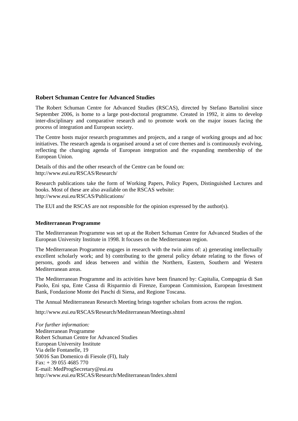# **Robert Schuman Centre for Advanced Studies**

The Robert Schuman Centre for Advanced Studies (RSCAS), directed by Stefano Bartolini since September 2006, is home to a large post-doctoral programme. Created in 1992, it aims to develop inter-disciplinary and comparative research and to promote work on the major issues facing the process of integration and European society.

The Centre hosts major research programmes and projects, and a range of working groups and ad hoc initiatives. The research agenda is organised around a set of core themes and is continuously evolving, reflecting the changing agenda of European integration and the expanding membership of the European Union.

Details of this and the other research of the Centre can be found on: [http://www.eui.eu/RSCAS/Research/](http://www.eui.eu/RSCAS/Research) 

Research publications take the form of Working Papers, Policy Papers, Distinguished Lectures and books. Most of these are also available on the RSCAS website: [http://www.eui.eu/RSCAS/Publications/](http://www.eui.eu/RSCAS/Publications) 

The EUI and the RSCAS are not responsible for the opinion expressed by the author(s).

# **Mediterranean Programme**

The Mediterranean Programme was set up at the Robert Schuman Centre for Advanced Studies of the European University Institute in 1998. It focuses on the Mediterranean region.

The Mediterranean Programme engages in research with the twin aims of: a) generating intellectually excellent scholarly work; and b) contributing to the general policy debate relating to the flows of persons, goods and ideas between and within the Northern, Eastern, Southern and Western Mediterranean areas.

The Mediterranean Programme and its activities have been financed by: Capitalia, Compagnia di San Paolo, Eni spa, Ente Cassa di Risparmio di Firenze, European Commission, European Investment Bank, Fondazione Monte dei Paschi di Siena, and Regione Toscana.

The Annual Mediterranean Research Meeting brings together scholars from across the region.

<http://www.eui.eu/RSCAS/Research/Mediterranean/Meetings.shtml>

*For further information:*  Mediterranean Programme Robert Schuman Centre for Advanced Studies European University Institute Via delle Fontanelle, 19 50016 San Domenico di Fiesole (FI), Italy Fax: + 39 055 4685 770 E-mail: [MedProgSecretary@eui.eu](mailto:MedProgSecretary@eui.eu)  <http://www.eui.eu/RSCAS/Research/Mediterranean/Index.shtml>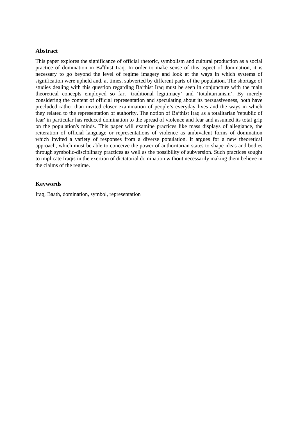# **Abstract**

This paper explores the significance of official rhetoric, symbolism and cultural production as a social practice of domination in Ba<sup>c</sup>thist Iraq. In order to make sense of this aspect of domination, it is necessary to go beyond the level of regime imagery and look at the ways in which systems of signification were upheld and, at times, subverted by different parts of the population. The shortage of studies dealing with this question regarding Ba°thist Iraq must be seen in conjuncture with the main theoretical concepts employed so far, 'traditional legitimacy' and 'totalitarianism'. By merely considering the content of official representation and speculating about its persuasiveness, both have precluded rather than invited closer examination of people's everyday lives and the ways in which they related to the representation of authority. The notion of Ba<sup>c</sup>thist Iraq as a totalitarian 'republic of fear' in particular has reduced domination to the spread of violence and fear and assumed its total grip on the population's minds. This paper will examine practices like mass displays of allegiance, the reiteration of official language or representations of violence as ambivalent forms of domination which invited a variety of responses from a diverse population. It argues for a new theoretical approach, which must be able to conceive the power of authoritarian states to shape ideas and bodies through symbolic-disciplinary practices as well as the possibility of subversion. Such practices sought to implicate Iraqis in the exertion of dictatorial domination without necessarily making them believe in the claims of the regime.

# **Keywords**

Iraq, Baath, domination, symbol, representation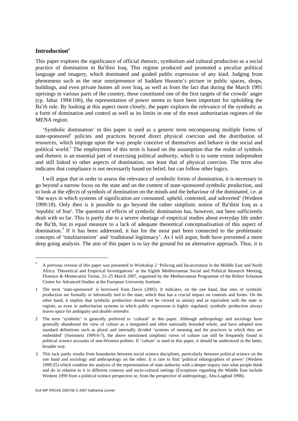# **Introduction**<sup>∗</sup>

1

This paper explores the significance of official rhetoric, symbolism and cultural production as a social practice of domination in Ba<sup>c</sup>thist Iraq. This regime produced and promoted a peculiar political language and imagery, which dominated and guided public expression of any kind. Judging from phenomena such as the near omnipresence of Saddam Hussein's picture in public spaces, shops, buildings, and even private homes all over Iraq, as well as from the fact that during the March 1991 uprisings in various parts of the country, these constituted one of the first targets of the crowds' anger (cp. Jabar 1994:106), the representation of power seems to have been important for upholding the Ba<sup>c</sup>th rule. By looking at this aspect more closely, the paper explores the relevance of the symbolic as a form of domination and control as well as its limits in one of the most authoritarian regimes of the MENA region.

'Symbolic domination' in this paper is used as a generic term encompassing multiple forms of state-sponsored<sup>1</sup> policies and practices beyond direct physical coercion and the distribution of resources, which impinge upon the way people conceive of themselves and behave in the social and political world.<sup>2</sup> The employment of this term is based on the assumption that the realm of symbols and rhetoric is an essential part of exercising political authority, which is to some extent independent and still linked to other aspects of domination, not least that of physical coercion. The term also indicates that compliance is not necessarily based on belief, but can follow other logics.

I will argue that in order to assess the relevance of symbolic forms of domination, it is necessary to go beyond a narrow focus on the state and on the content of state-sponsored symbolic production, and to look at the *effects* of symbols of domination on the minds and the behaviour of the dominated, i.e. at 'the ways in which systems of signification are consumed, upheld, contested, and subverted' (Wedeen 1999:18). Only then is it possible to go beyond the rather simplistic notion of Ba°thist Iraq as a 'republic of fear'. The question of effects of symbolic domination has, however, not been sufficiently dealt with so far. This is partly due to a severe shortage of empirical studies about everyday life under the Ba<sup>c</sup>th, but in equal measure to a lack of adequate theoretical conceptualisation of this aspect of domination.<sup>3</sup> If it has been addressed, it has for the most part been connected to the problematic concepts of 'totalitarianism' and 'traditional legitimacy'. As I will argue, both have prevented a more deep going analysis. The aim of this paper is to lay the ground for an alternative approach. Thus, it is

<sup>∗</sup> A previous version of this paper was presented in Workshop 2 'Policing and Incarceration in the Middle East and North Africa: Theoretical and Empirical Investigations' at the Eighth Mediterranean Social and Political Research Meeting, Florence & Montecatini Terme, 21–25 March 2007, organised by the Mediterranean Programme of the Robert Schuman Centre for Advanced Studies at the European University Institute.

<sup>1</sup> The term 'state-sponsored' is borrowed from Davis (2005). It indicates, on the one hand, that sites of symbolic production are formally or informally tied to the state, which thus has a crucial impact on contents and forms. On the other hand, it implies that symbolic production should not be viewed as unitary and as equivalent with the state or regime, as even in authoritarian systems in which public expression is highly regulated, symbolic production always leaves space for ambiguity and *double entendre.*

<sup>2</sup> The term 'symbolic' is generally preferred to 'cultural' in this paper. Although anthropology and sociology have generally abandoned the view of culture as a integrated and often nationally bounded whole, and have adopted new standard definitions such as plural and internally divided 'systems of meaning and the practices in which they are embedded' (Steinmetz 1999:6-7), the above mentioned simplistic views of culture can still be frequently found in political science accounts of non-Western polities. If 'culture' is used in this paper, it should be understood in the latter, broader way.

<sup>3</sup> This lack partly results from boundaries between social science disciplines, particularly between political science on the one hand and sociology and anthropology on the other. It is rare to find 'political ethnographies of power' (Wedeen 1999:25) which combine the analysis of the representation of state authority with a deeper inquiry into what people think and do in relation to it in different contexts and socio-cultural settings (Exceptions regarding the Middle East include Wedeen 1999 from a political science perspective or, from the perspective of anthropology, Abu-Lughod 1998).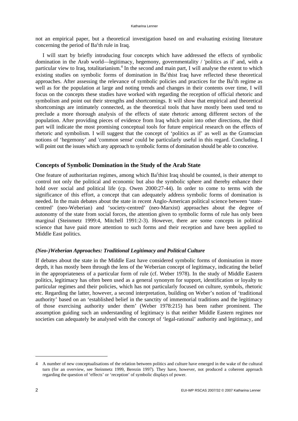not an empirical paper, but a theoretical investigation based on and evaluating existing literature concerning the period of Ba<sup>c</sup>th rule in Iraq.

I will start by briefly introducing four concepts which have addressed the effects of symbolic domination in the Arab world—legitimacy, hegemony, governmentality / 'politics as if' and, with a particular view to Iraq, totalitarianism.<sup>4</sup> In the second and main part, I will analyse the extent to which existing studies on symbolic forms of domination in Ba<sup>c</sup>thist Iraq have reflected these theoretical approaches. After assessing the relevance of symbolic policies and practices for the Ba<sup>c</sup>th regime as well as for the population at large and noting trends and changes in their contents over time, I will focus on the concepts these studies have worked with regarding the reception of official rhetoric and symbolism and point out their strengths and shortcomings. It will show that empirical and theoretical shortcomings are intimately connected, as the theoretical tools that have mostly been used tend to preclude a more thorough analysis of the effects of state rhetoric among different sectors of the population. After providing pieces of evidence from Iraq which point into other directions, the third part will indicate the most promising conceptual tools for future empirical research on the effects of rhetoric and symbolism. I will suggest that the concept of 'politics as if' as well as the Gramscian notions of 'hegemony' and 'common sense' could be particularly useful in this regard. Concluding, I will point out the issues which any approach to symbolic forms of domination should be able to conceive.

# **Concepts of Symbolic Domination in the Study of the Arab State**

One feature of authoritarian regimes, among which Ba<sup>c</sup>thist Iraq should be counted, is their attempt to control not only the political and economic but also the symbolic sphere and thereby enhance their hold over social and political life (cp. Owen 2000:27-44). In order to come to terms with the significance of this effort, a concept that can adequately address symbolic forms of domination is needed. In the main debates about the state in recent Anglo-American political science between 'statecentred' (neo-Weberian) and 'society-centred' (neo-Marxist) approaches about the degree of autonomy of the state from social forces, the attention given to symbolic forms of rule has only been marginal (Steinmetz 1999:4, Mitchell 1991:2-3). However, there are some concepts in political science that have paid more attention to such forms and their reception and have been applied to Middle East politics.

# *(Neo-)Weberian Approaches: Traditional Legitimacy and Political Culture*

If debates about the state in the Middle East have considered symbolic forms of domination in more depth, it has mostly been through the lens of the Weberian concept of legitimacy, indicating the belief in the appropriateness of a particular form of rule (cf. Weber 1978). In the study of Middle Eastern politics, legitimacy has often been used as a general synonym for support, identification or loyalty to particular regimes and their policies, which has not particularly focused on culture, symbols, rhetoric etc. Regarding the latter, however, a second interpretation, building on Weber's notion of 'traditional authority' based on an 'established belief in the sanctity of immemorial traditions and the legitimacy of those exercising authority under them' (Weber 1978:215) has been rather prominent. The assumption guiding such an understanding of legitimacy is that neither Middle Eastern regimes nor societies can adequately be analysed with the concept of 'legal-rational' authority and legitimacy, and

<sup>4</sup> A number of new conceptualisations of the relation between politics and culture have emerged in the wake of the cultural turn (for an overview, see Steinmetz 1999, Berezin 1997). They have, however, not produced a coherent approach regarding the question of 'effects' or 'reception' of symbolic displays of power.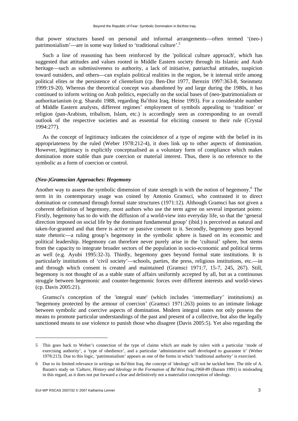that power structures based on personal and informal arrangements—often termed '(neo-) patrimonialism'—are in some way linked to 'traditional culture'.<sup>5</sup>

Such a line of reasoning has been reinforced by the 'political culture approach', which has suggested that attitudes and values rooted in Middle Eastern society through its Islamic and Arab heritage—such as submissiveness to authority, a lack of initiative, patriarchal attitudes, suspicion toward outsiders, and others—can explain political realities in the region, be it internal strife among political elites or the persistence of clientelism (cp. Ben-Dor 1977, Berezin 1997:363-8, Steinmetz 1999:19-20). Whereas the theoretical concept was abandoned by and large during the 1980s, it has continued to inform writing on Arab politics, especially on the social bases of (neo-)patrimonialism or authoritarianism (e.g. Sharabi 1988, regarding Ba<sup>c</sup>thist Iraq, Heine 1993). For a considerable number of Middle Eastern analysts, different regimes' employment of symbols appealing to 'tradition' or religion (pan-Arabism, tribalism, Islam, etc.) is accordingly seen as corresponding to an overall outlook of the respective societies and as essential for eliciting consent to their rule (Crystal 1994:277).

As the concept of legitimacy indicates the coincidence of a type of regime with the belief in its appropriateness by the ruled (Weber 1978:212-4), it does link up to other aspects of domination. However, legitimacy is explicitly conceptualised as a voluntary form of compliance which makes domination more stable than pure coercion or material interest. Thus, there is no reference to the symbolic as a form of coercion or control.

## *(Neo-)Gramscian Approaches: Hegemony*

Another way to assess the symbolic dimension of state strength is with the notion of hegemony.<sup>6</sup> The term in its contemporary usage was coined by Antonio Gramsci, who contrasted it to direct domination or command through formal state structures (1971:12). Although Gramsci has not given a coherent definition of hegemony, most authors who use the term agree on several important points: Firstly, hegemony has to do with the diffusion of a world-view into everyday life, so that the 'general direction imposed on social life by the dominant fundamental group' (ibid.) is perceived as natural and taken-for-granted and that there is active or passive consent to it. Secondly, hegemony goes beyond state rhetoric—a ruling group's hegemony in the symbolic sphere is based on its economic and political leadership. Hegemony can therefore never purely arise in the 'cultural' sphere, but stems from the capacity to integrate broader sectors of the population in socio-economic and political terms as well (e.g. Ayubi 1995:32-3). Thirdly, hegemony goes beyond formal state institutions. It is particularly institutions of 'civil society'—schools, parties, the press, religious institutions, etc.—in and through which consent is created and maintained (Gramsci 1971:7, 15-7, 245, 267). Still, hegemony is not thought of as a stable state of affairs uniformly accepted by all, but as a continuous struggle between hegemonic and counter-hegemonic forces over different interests and world-views (cp. Davis 2005:21).

Gramsci's conception of the 'integral state' (which includes 'intermediary' institutions) as 'hegemony protected by the armour of coercion' (Gramsci 1971:263) points to an intimate linkage between symbolic and coercive aspects of domination. Modern integral states not only possess the means to promote particular understandings of the past and present of a collective, but also the legally sanctioned means to use violence to punish those who disagree (Davis 2005:5). Yet also regarding the

<sup>5</sup> This goes back to Weber's connection of the type of claims which are made by rulers with a particular 'mode of exercising authority', a 'type of obedience', and a particular 'administrative staff developed to guarantee it' (Weber 1978:213). Due to this logic, 'patrimonialism' appears as one of the forms in which 'traditional authority' is exercised.

<sup>6</sup> Due to its limited relevance in writings on Ba<sup>c</sup>thist Iraq, the concept of 'ideology' will not be tackled here. The title of A. Baram's study on 'Culture, History and Ideology in the Formation of Ba<sup>c</sup>thist Iraq, 1968-89 (Baram 1991) is misleading in this regard, as it does not put forward a clear and definitively not a materialist conception of ideology.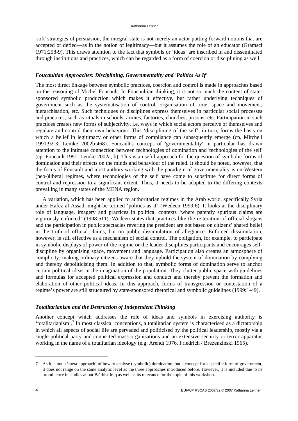'soft' strategies of persuasion, the integral state is not merely an actor putting forward notions that are accepted or defied—as in the notion of legitimacy—but it assumes the role of an educator (Gramsci 1971:258-9). This draws attention to the fact that symbols or 'ideas' are inscribed in and disseminated through institutions and practices, which can be regarded as a form of coercion or disciplining as well.

# *Foucaultian Approaches: Disciplining, Governmentality and 'Politics As If'*

The most direct linkage between symbolic practices, coercion and control is made in approaches based on the reasoning of Michel Foucault. In Foucaultian thinking, it is not so much the content of statesponsored symbolic production which makes it effective, but rather underlying techniques of government such as the systematisation of control, organisation of time, space and movement, hierarchisation, etc. Such techniques or disciplines express themselves in particular social processes and practices, such as rituals in schools, armies, factories, churches, prisons, etc. Participation in such practices creates new forms of subjectivity, i.e. ways in which social actors perceive of themselves and regulate and control their own behaviour. This 'disciplining of the self', in turn, forms the basis on which a belief in legitimacy or other forms of compliance can subsequently emerge (cp. Mitchell 1991:92-3; Lemke 2002b:468). Foucault's concept of 'governmentality' in particular has drawn attention to the intimate connection between technologies of domination and 'technologies of the self' (cp. Foucault 1991, Lemke 2002a, b). This is a useful approach for the question of symbolic forms of domination and their effects on the minds and behaviour of the ruled. It should be noted, however, that the focus of Foucault and most authors working with the paradigm of governmentality is on Western (neo-)liberal regimes, where technologies of the self have come to substitute for direct forms of control and repression to a significant extent. Thus, it needs to be adapted to the differing contexts prevailing in many states of the MENA region.

A variation, which has been applied to authoritarian regimes in the Arab world, specifically Syria under Hafez al-Assad, might be termed 'politics as if' (Wedeen 1999:6). It looks at the disciplinary role of language, imagery and practices in political contexts 'where patently spurious claims are vigorously enforced' (1998:511). Wedeen states that practices like the reiteration of official slogans and the participation in public spectacles revering the president are not based on citizens' shared belief in the truth of official claims, but on public dissimulation of allegiance. Enforced dissimulation, however, is still effective as a mechanism of social control. The obligation, for example, to participate in symbolic displays of power of the regime or the leader disciplines participants and encourages selfdiscipline by organising space, movement and language. Participation also creates an atmosphere of complicity, making ordinary citizens aware that they uphold the system of domination by complying and thereby depoliticising them. In addition to that, symbolic forms of domination serve to anchor certain political ideas in the imagination of the population. They clutter public space with guidelines and formulas for accepted political expression and conduct and thereby prevent the formation and elaboration of other political ideas. In this approach, forms of transgression or contestation of a regime's power are still structured by state-sponsored rhetorical and symbolic guidelines (1999:1-49).

## *Totalitarianism and the Destruction of Independent Thinking*

Another concept which addresses the role of ideas and symbols in exercising authority is 'totalitarianism'.<sup>7</sup> In most classical conceptions, a totalitarian system is characterised as a dictatorship in which all aspects of social life are pervaded and politicised by the political leadership, mostly via a single political party and connected mass organisations and an extensive security or terror apparatus working in the name of a totalitarian ideology (e.g. Arendt 1976, Friedrich / Brezenzinski 1965).

<sup>7</sup> As it is not a 'meta-approach' of how to analyse (symbolic) domination, but a concept for a specific form of government, it does not range on the same analytic level as the three approaches introduced before. However, it is included due to its prominence in studies about Ba<sup>c</sup>thist Iraq as well as its relevance for the topic of this workshop.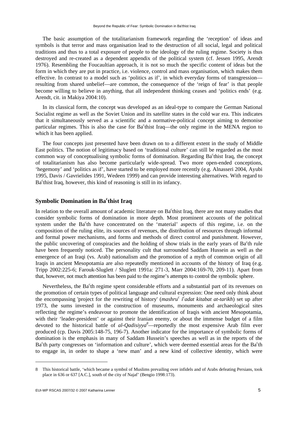The basic assumption of the totalitarianism framework regarding the 'reception' of ideas and symbols is that terror and mass organisation lead to the destruction of all social, legal and political traditions and thus to a total exposure of people to the ideology of the ruling regime. Society is thus destroyed and re-created as a dependent appendix of the political system (cf. Jessen 1995, Arendt 1976). Resembling the Foucaultian approach, it is not so much the specific content of ideas but the form in which they are put in practice, i.e. violence, control and mass organisation, which makes them effective. In contrast to a model such as 'politics as if', in which everyday forms of transgression resulting from shared unbelief—are common, the consequence of the 'reign of fear' is that people become willing to believe in anything, that all independent thinking ceases and 'politics ends' (e.g. Arendt, cit. in Makiya 2004:10).

In its classical form, the concept was developed as an ideal-type to compare the German National Socialist regime as well as the Soviet Union and its satellite states in the cold war era. This indicates that it simultaneously served as a scientific and a normative-political concept aiming to demonise particular regimes. This is also the case for Ba<sup>c</sup>thist Iraq—the only regime in the MENA region to which it has been applied.

The four concepts just presented have been drawn on to a different extent in the study of Middle East politics. The notion of legitimacy based on 'traditional culture' can still be regarded as the most common way of conceptualising symbolic forms of domination. Regarding Ba°thist Iraq, the concept of totalitarianism has also become particularly wide-spread. Two more open-ended conceptions, 'hegemony' and 'politics as if', have started to be employed more recently (e.g. Alnasseri 2004, Ayubi 1995, Davis / Gavrielides 1991, Wedeen 1999) and can provide interesting alternatives. With regard to Ba<sup>c</sup>thist Iraq, however, this kind of reasoning is still in its infancy.

# **Symbolic Domination in Ba<sup>c</sup> thist Iraq**

In relation to the overall amount of academic literature on Ba<sup>c</sup>thist Iraq, there are not many studies that consider symbolic forms of domination in more depth. Most prominent accounts of the political system under the Ba<sup>c</sup>th have concentrated on the 'material' aspects of this regime, i.e. on the composition of the ruling elite, its sources of revenues, the distribution of resources through informal and formal power mechanisms, and forms and methods of direct control and punishment. However, the public uncovering of conspiracies and the holding of show trials in the early years of Ba<sup>c</sup>th rule have been frequently noticed. The personality cult that surrounded Saddam Hussein as well as the emergence of an Iraqi (vs. Arab) nationalism and the promotion of a myth of common origin of all Iraqis in ancient Mesopotamia are also repeatedly mentioned in accounts of the history of Iraq (e.g. Tripp 2002:225-6; Farouk-Sluglett / Sluglett 1991a: 271-3, Marr 2004:169-70, 209-11). Apart from that, however, not much attention has been paid to the regime's attempts to control the symbolic sphere.

Nevertheless, the Ba<sup>c</sup>th regime spent considerable efforts and a substantial part of its revenues on the promotion of certain types of political language and cultural expression: One need only think about the encompassing 'project for the rewriting of history' (*mashru<sup>c</sup>* i<sup>c</sup>adat kitabat at-tarikh) set up after 1973, the sums invested in the construction of museums, monuments and archaeological sites reflecting the regime's endeavour to promote the identification of Iraqis with ancient Mesopotamia, with their 'leader-president' or against their Iranian enemy, or about the immense budget of a film devoted to the historical battle of *al-Qadisiyya<sup>8</sup>* —reportedly the most expensive Arab film ever produced (cp. Davis 2005:148-75, 196-7). Another indicator for the importance of symbolic forms of domination is the emphasis in many of Saddam Hussein's speeches as well as in the reports of the Ba<sup>c</sup>th party congresses on 'information and culture', which were deemed essential areas for the Ba<sup>c</sup>th to engage in, in order to shape a 'new man' and a new kind of collective identity, which were

<sup>8</sup> This historical battle, 'which became a symbol of Muslims prevailing over infidels and of Arabs defeating Persians, took place in 636 or 637 [A.C.], south of the city of Najaf' (Bengio 1998:173).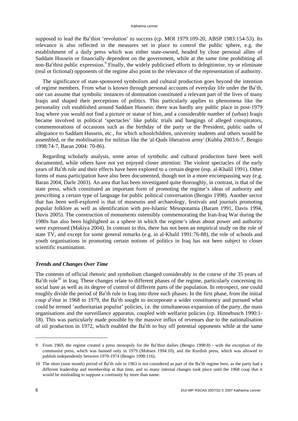supposed to lead the Ba<sup>c</sup>thist 'revolution' to success (cp. MOI 1979:109-20, ABSP 1983:154-53). Its relevance is also reflected in the measures set in place to control the public sphere, e.g. the establishment of a daily press which was either state-owned, headed by close personal allies of Saddam Hussein or financially dependent on the government, while at the same time prohibiting all non-Ba<sup>c</sup>thist public expression.<sup>9</sup> Finally, the widely publicised efforts to delegitimise, try or eliminate (real or fictional) opponents of the regime also point to the relevance of the representation of authority.

The significance of state-sponsored symbolism and cultural production goes beyond the intention of regime members. From what is known through personal accounts of everyday life under the Ba<sup>c</sup>th, one can assume that symbolic instances of domination constituted a relevant part of the lives of many Iraqis and shaped their perceptions of politics. This particularly applies to phenomena like the personality cult established around Saddam Hussein: there was hardly any public place in post-1979 Iraq where you would not find a picture or statue of him, and a considerable number of (urban) Iraqis became involved in political 'spectacles' like public trials and hangings of alleged conspirators, commemorations of occasions such as the birthday of the party or the President, public oaths of allegiance to Saddam Hussein, etc., for which schoolchildren, university students and others would be assembled, or the mobilisation for militias like the 'al-Quds liberation army' (Kubba 2003:6-7, Bengio 1998:74-7, Baran 2004: 70-86).

Regarding scholarly analysis, some areas of symbolic and cultural production have been well documented, while others have not yet enjoyed closer attention: The violent spectacles of the early years of Ba<sup>c</sup>th rule and their effects have been explored to a certain degree (esp. al-Khalil 1991). Other forms of mass participation have also been documented, though not in a more encompassing way (e.g. Baran 2004, Darle 2003). An area that has been investigated quite thoroughly, in contrast, is that of the state press, which constituted an important form of promoting the regime's ideas of authority and prescribing a certain type of language for public political conversation (Bengio 1998). Another sector that has been well-explored is that of museums and archaeology, festivals and journals promoting popular folklore as well as identification with pre-Islamic Mesopotamia (Baram 1991, Davis 1994, Davis 2005). The construction of monuments ostensibly commemorating the Iran-Iraq War during the 1980s has also been highlighted as a sphere in which the regime's ideas about power and authority were expressed (Makiya 2004). In contrast to this, there has not been an empirical study on the role of state TV, and except for some general remarks (e.g. in al-Khalil 1991:76-88), the role of schools and youth organisations in promoting certain notions of politics in Iraq has not been subject to closer scientific examination.

## *Trends and Changes Over Time*

The contents of official rhetoric and symbolism changed considerably in the course of the 35 years of  $Ba<sup>c</sup>th rule<sup>10</sup>$  in Iraq. These changes relate to different phases of the regime, particularly concerning its social base as well as its degree of control of different parts of the population. In retrospect, one could roughly divide the period of Ba<sup>c</sup>th rule in Iraq into three such phases: In the first phase, from the initial coup d'état in 1968 to 1979, the Ba<sup>c</sup>th sought to incorporate a wider constituency and pursued what could be termed 'authoritarian populist' policies, i.e. the simultaneous expansion of the party, the mass organisations and the surveillance apparatus, coupled with welfarist policies (cp. Hinnebusch 1990:1- 18). This was particularly made possible by the massive influx of revenues due to the nationalisation of oil production in 1972, which enabled the Ba<sup>c</sup>th to buy off potential opponents while at the same

<sup>9</sup> From 1969, the regime created a press monopoly for the Ba°thist dailies (Bengio 1998:8) - with the exception of the communist press, which was banned only in 1979 (Mohsen 1994:10), and the Kurdish press, which was allowed to publish independently between 1970-1974 (Bengio 1998:116).

<sup>10</sup> The short (nine month) period of Ba<sup>c</sup>th rule in 1963 is not considered as part of the Ba<sup>c</sup>th regime here, as the party had a different leadership and membership at that time, and so many internal changes took place until the 1968 coup that it would be misleading to suppose a continuity by more than name.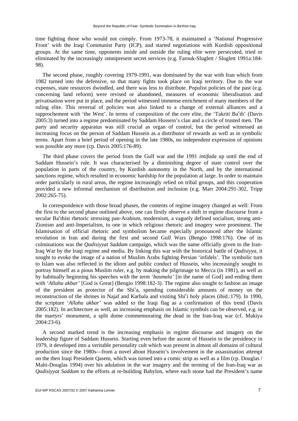time fighting those who would not comply. From 1973-78, it maintained a 'National Progressive Front' with the Iraqi Communist Party (ICP), and started negotiations with Kurdish oppositional groups. At the same time, opponents inside and outside the ruling elite were persecuted, tried or eliminated by the increasingly omnipresent secret services (e.g. Farouk-Sluglett / Sluglett 1991a:184- 98).

The second phase, roughly covering 1979-1991, was dominated by the war with Iran which from 1982 turned into the defensive, so that many fights took place on Iraqi territory. Due to the war expenses, state resources dwindled, and there was less to distribute. Populist policies of the past (e.g. concerning land reform) were revised or abandoned, measures of economic liberalisation and privatisation were put in place, and the period witnessed immense enrichment of many members of the ruling elite. This reversal of policies was also linked to a change of external alliances and a rapprochement with 'the West'. In terms of composition of the core elite, the 'Takriti Ba<sup>c</sup>th' (Davis 2005:3) turned into a regime predominated by Saddam Hussein's clan and a circle of trusted men. The party and security apparatus was still crucial as organ of control, but the period witnessed an increasing focus on the person of Saddam Hussein as a distributor of rewards as well as in symbolic terms. Apart from a brief period of opening in the late 1980s, no independent expression of opinions was possible any more (cp. Davis 2005:176-89).

The third phase covers the period from the Gulf war and the 1991 *intifada* up until the end of Saddam Hussein's rule. It was characterised by a diminishing degree of state control over the population in parts of the country, by Kurdish autonomy in the North, and by the international sanctions regime, which resulted in economic hardship for the population at large. In order to maintain order particularly in rural areas, the regime increasingly relied on tribal groups, and this cooperation provided a new informal mechanism of distribution and inclusion (e.g. Marr 2004:291-302, Tripp 2002:265-75).

In correspondence with those broad phases, the contents of regime imagery changed as well: From the first to the second phase outlined above, one can firstly observe a shift in regime discourse from a secular Ba<sup>c</sup>thist rhetoric stressing pan-Arabism, modernism, a vaguely defined socialism, strong anti-Zionism and anti-Imperialism, to one in which religious rhetoric and imagery were prominent. The Islamisation of official rhetoric and symbolism became especially pronounced after the Islamic revolution in Iran and during the first and second Gulf Wars (Bengio 1998:176). One of its culminations was the *Qadisiyyat Saddam* campaign, which was the name officially given to the Iran-Iraq War by the Iraqi regime and media. By linking this war with the historical battle of *Qadisiyya*, it sought to evoke the image of a nation of Muslim Arabs fighting Persian 'infidels'. The symbolic turn to Islam was also reflected in the idiom and public conduct of Hussein, who increasingly sought to portray himself as a pious Muslim ruler, e.g. by making the pilgrimage to Mecca (in 1981), as well as by habitually beginning his speeches with the term '*basmala'* [in the name of God] and ending them with '*Allahu akbar*' [God is Great] (Bengio 1998:182-3). The regime also sought to fashion an image of the president as protector of the Shi<sup>c</sup>a, spending considerable amounts of money on the reconstruction of the shrines in Najaf and Karbala and visiting Shi<sup>c</sup>i holy places (ibid.:179). In 1990, the scripture '*Allahu akbar'* was added to the Iraqi flag as a confirmation of this trend (Davis 2005:182). In architecture as well, an increasing emphasis on Islamic symbols can be observed, e.g. in the martyrs' monument, a split dome commemorating the dead in the Iran-Iraq war (cf. Makiya 2004:23-6).

A second marked trend is the increasing emphasis in regime discourse and imagery on the leadership figure of Saddam Hussein. Starting even before the ascent of Hussein to the presidency in 1979, it developed into a veritable personality cult which was present in almost all domains of cultural production since the 1980s—from a novel about Hussein's involvement in the assassination attempt on the then Iraqi President Qasem, which was turned into a comic strip as well as a film (cp. Douglas / Malti-Douglas 1994) over his adulation in the war imagery and the terming of the Iran-Iraq war as *Qadisiyyat Saddam* to the efforts at re-building Babylon, where each stone had the President's name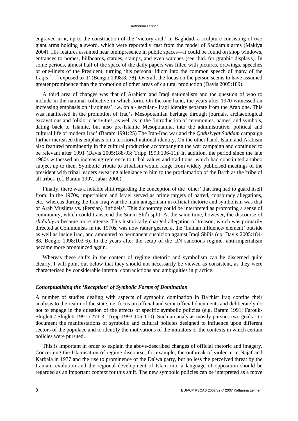#### Katharina Lenner

engraved in it, up to the construction of the 'victory arch' in Baghdad, a sculpture consisting of two giant arms holding a sword, which were reportedly cast from the model of Saddam's arms (Makiya 2004). His features assumed near omnipresence in public spaces—it could be found on shop windows, entrances to homes, billboards, statues, stamps, and even watches (see ibid. for graphic displays). In some periods, almost half of the space of the daily papers was filled with pictures, drawings, speeches or one-liners of the President, turning 'his personal idiom into the common speech of many of the Iraqis […] exposed to it' (Bengio 1998:8, 78). Overall, the focus on the person seems to have assumed greater prominence than the promotion of other areas of cultural production (Davis 2005:189).

A third area of changes was that of Arabism and Iraqi nationalism and the question of who to include in the national collective in which form. On the one hand, the years after 1970 witnessed an increasing emphasis on 'Iraqiness', i.e. on a - secular - Iraqi identity separate from the Arab one. This was manifested in the promotion of Iraq's Mesopotamian heritage through journals, archaeological excavations and folkloric activities, as well as in the 'introduction of ceremonies, names, and symbols, dating back to Islamic, but also pre-Islamic Mesopotamia, into the administrative, political and cultural life of modern Iraq' (Baram 1991:25) The Iran-Iraq war and the *Qadisiyyat Saddam* campaign further increased this emphasis on a territorial national identity. On the other hand, Islam and Arabism also featured prominently in the cultural production accompanying the war campaign and continued to be relevant after 1991 (Davis 2005:188-93; Tripp 1993:106-11). In addition, the period since the late 1980s witnessed an increasing reference to tribal values and traditions, which had constituted a taboo subject up to then. Symbolic tribute to tribalism would range from widely publicised meetings of the president with tribal leaders swearing allegiance to him to the proclamation of the Ba<sup>c</sup>th as the 'tribe of all tribes' (cf. Baram 1997, Jabar 2000).

Finally, there was a notable shift regarding the conception of the 'other' that Iraq had to guard itself from: In the 1970s, imperialism and Israel served as prime targets of hatred, conspiracy allegations, etc., whereas during the Iran-Iraq war the main antagonism in official rhetoric and symbolism was that of Arab Muslims vs. (Persian) 'infidels'. This dichotomy could be interpreted as promoting a sense of community, which could transcend the Sunni-Shi<sup>c</sup>i split. At the same time, however, the discourse of *shu<sup>c</sup> ubiyya* became more intense. This historically charged allegation of treason, which was primarily directed at Communists in the 1970s, was now rather geared at the 'Iranian influence/ element' outside as well as inside Iraq, and amounted to permanent suspicion against Iraqi Shi°is (cp. Davis 2005:184-88, Bengio 1998:103-6). In the years after the setup of the UN sanctions regime, anti-imperialism became more pronounced again.

Whereas these shifts in the content of regime rhetoric and symbolism can be discerned quite clearly, I will point out below that they should not necessarily be viewed as consistent, as they were characterised by considerable internal contradictions and ambiguities in practice.

# *Conceptualising the 'Reception' of Symbolic Forms of Domination*

A number of studies dealing with aspects of symbolic domination in Ba<sup>c</sup>thist Iraq confine their analysis to the realm of the state, i.e. focus on official and semi-official documents and deliberately do not to engage in the question of the effects of specific symbolic policies (e.g. Baram 1991; Farouk-Sluglett / Sluglett 1991a:271-3; Tripp 1993:105-110). Such an analysis mostly pursues two goals - to document the manifestations of symbolic and cultural policies designed to influence upon different sectors of the populace and to identify the motivations of the initiators or the contexts in which certain policies were pursued.

This is important in order to explain the above-described changes of official rhetoric and imagery. Concerning the Islamisation of regime discourse, for example, the outbreak of violence in Najaf and Karbala in 1977 and the rise to prominence of the  $Da<sup>c</sup>wa$  party, but no less the perceived threat by the Iranian revolution and the regional development of Islam into a language of opposition should be regarded as an important context for this shift. The new symbolic policies can be interpreted as a move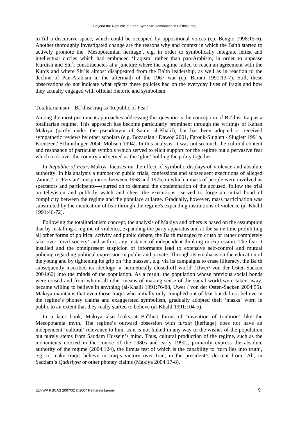to fill a discursive space, which could be occupied by oppositional voices (cp. Bengio 1998:15-6). Another thoroughly investigated change are the reasons why and context in which the Ba<sup>c</sup>th started to actively promote the 'Mesopotamian heritage', e.g. in order to symbolically integrate leftist and intellectual circles which had embraced 'Iraqism' rather than pan-Arabism, in order to appease Kurdish and Shi<sup>c</sup>i constituencies at a juncture where the regime failed to reach an agreement with the Kurds and where Shi<sup>c</sup>is almost disappeared from the Ba<sup>c</sup>th leadership, as well as in reaction to the decline of Pan-Arabism in the aftermath of the 1967 war (cp. Baram 1991:13-7). Still, these observations do not indicate what *effects* these policies had on the everyday lives of Iraqis and how they actually engaged with official rhetoric and symbolism.

# Totalitarianism—Ba<sup>c</sup>thist Iraq as 'Republic of Fear'

Among the most prominent approaches addressing this question is the conception of Ba<sup>c</sup>thist Iraq as a totalitarian regime. This approach has become particularly prominent through the writings of Kanan Makiya (partly under the pseudonym of Samir al-Khalil), but has been adopted or received sympathetic reviews by other scholars (e.g. Bozarslan / Dawod 2001, Farouk-Sluglett / Sluglett 1991b, Kreutzer / Schmidinger 2004, Mohsen 1994). In this analysis, it was not so much the cultural content and resonance of particular symbols which served to elicit support for the regime but a pervasive fear which took over the country and served as the 'glue' holding the polity together.

In *Republic of Fear*, Makiya focuses on the effect of symbolic displays of violence and absolute authority. In his analysis a number of public trials, confessions and subsequent executions of alleged 'Zionist' or 'Persian' conspirators between 1968 and 1975, in which a mass of people were involved as spectators and participants—spurred on to demand the condemnation of the accused, follow the trial on television and publicly watch and cheer the executions—served to forge an initial bond of complicity between the regime and the populace at large. Gradually, however, mass participation was substituted by the inculcation of fear through the regime's expanding institutions of violence (al-Khalil 1991:46-72).

Following the totalitarianism concept, the analysis of Makiya and others is based on the assumption that by installing a regime of violence, expanding the party apparatus and at the same time prohibiting all other forms of political activity and public debate, the Ba<sup>c</sup>th managed to crush or rather completely take over 'civil society' and with it, any instance of independent thinking or expression. The fear it instilled and the omnipresent suspicion of informants lead to extensive self-control and mutual policing regarding political expression in public and private. Through its emphasis on the education of the young and by tightening its grip on 'the masses', e.g. via its campaigns to erase illiteracy, the Ba<sup>c</sup>th subsequently inscribed its ideology, a 'hermetically closed-off world' (Uwer/ von der Osten-Sacken 2004:60) into the minds of the population. As a result, the population whose previous social bonds were erased and from whom all other means of making sense of the social world were taken away, became willing to believe in anything (al-Khalil 1991:76-88, Uwer / von der Osten-Sacken 2004:55). Makiya maintains that even those Iraqis who initially only complied out of fear but did not believe in the regime's phoney claims and exaggerated symbolism, gradually adopted their 'masks' worn in public to an extent that they really started to believe (al-Khalil 1991:104-5).

In a later book, Makiya also looks at Ba<sup>c</sup>thist forms of 'invention of tradition' like the Mesopotamia myth. The regime's outward obsession with *turath* [heritage] does not have an independent 'cultural' relevance to him, as it is not linked in any way to the wishes of the population but purely stems from Saddam Hussein's mind. Thus, cultural production of the regime, such as the monuments erected in the course of the 1980s and early 1990s, primarily express the absolute authority of the regime (2004:124), the litmus test of which is the capability to 'turn lies into truth', e.g. to make Iraqis believe in Iraq's victory over Iran, in the president's descent from 'Ali, in Saddam's *Qadisiyya* or other phoney claims (Makiya 2004:17-8).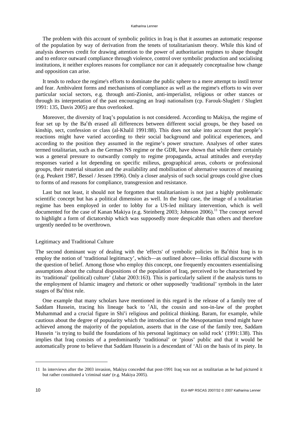The problem with this account of symbolic politics in Iraq is that it assumes an automatic response of the population by way of derivation from the tenets of totalitarianism theory. While this kind of analysis deserves credit for drawing attention to the power of authoritarian regimes to shape thought and to enforce outward compliance through violence, control over symbolic production and socialising institutions, it neither explores reasons for compliance nor can it adequately conceptualise how change and opposition can arise.

It tends to reduce the regime's efforts to dominate the public sphere to a mere attempt to instil terror and fear. Ambivalent forms and mechanisms of compliance as well as the regime's efforts to win over particular social sectors, e.g. through anti-Zionist, anti-imperialist, religious or other stances or through its interpretation of the past encouraging an Iraqi nationalism (cp. Farouk-Sluglett / Sluglett 1991: 135, Davis 2005) are thus overlooked.

Moreover, the diversity of Iraq's population is not considered. According to Makiya, the regime of fear set up by the Ba<sup>c</sup>th erased all differences between different social groups, be they based on kinship, sect, confession or class (al-Khalil 1991:88). This does not take into account that people's reactions might have varied according to their social background and political experiences, and according to the position they assumed in the regime's power structure. Analyses of other states termed totalitarian, such as the German NS regime or the GDR, have shown that while there certainly was a general pressure to outwardly comply to regime propaganda, actual attitudes and everyday responses varied a lot depending on specific milieus, geographical areas, cohorts or professional groups, their material situation and the availability and mobilisation of alternative sources of meaning (e.g. Peukert 1987, Bessel / Jessen 1996). Only a closer analysis of such social groups could give clues to forms of and reasons for compliance, transgression and resistance.

Last but not least, it should not be forgotten that totalitarianism is not just a highly problematic scientific concept but has a political dimension as well. In the Iraqi case, the image of a totalitarian regime has been employed in order to lobby for a US-led military intervention, which is well documented for the case of Kanan Makiya (e.g. Steinberg 2003; Johnson 2006).<sup>11</sup> The concept served to highlight a form of dictatorship which was supposedly more despicable than others and therefore urgently needed to be overthrown.

## Legitimacy and Traditional Culture

The second dominant way of dealing with the 'effects' of symbolic policies in Ba<sup>c</sup>thist Iraq is to employ the notion of 'traditional legitimacy', which—as outlined above—links official discourse with the question of belief. Among those who employ this concept, one frequently encounters essentialising assumptions about the cultural dispositions of the population of Iraq, perceived to be characterised by its 'traditional' (political) culture' (Jabar 2003:163). This is particularly salient if the analysis turns to the employment of Islamic imagery and rhetoric or other supposedly 'traditional' symbols in the later stages of Ba<sup>c</sup>thist rule.

One example that many scholars have mentioned in this regard is the release of a family tree of Saddam Hussein, tracing his lineage back to 'Ali, the cousin and son-in-law of the prophet Muhammad and a crucial figure in Shi<sup>c</sup>i religious and political thinking. Baram, for example, while cautious about the degree of popularity which the introduction of the Mesopotamian trend might have achieved among the majority of the population, asserts that in the case of the family tree, Saddam Hussein 'is trying to build the foundations of his personal legitimacy on solid rock' (1991:138). This implies that Iraq consists of a predominantly 'traditional' or 'pious' public and that it would be automatically prone to believe that Saddam Hussein is a descendant of 'Ali on the basis of its piety. In

<sup>11</sup> In interviews after the 2003 invasion, Makiya conceded that post-1991 Iraq was not as totalitarian as he had pictured it but rather constituted a 'criminal state' (e.g. Makiya 2005).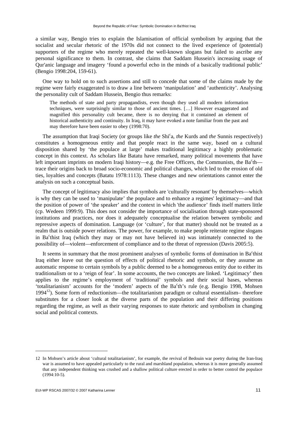a similar way, Bengio tries to explain the Islamisation of official symbolism by arguing that the socialist and secular rhetoric of the 1970s did not connect to the lived experience of (potential) supporters of the regime who merely repeated the well-known slogans but failed to ascribe any personal significance to them. In contrast, she claims that Saddam Hussein's increasing usage of Qur'anic language and imagery 'found a powerful echo in the minds of a basically traditional public' (Bengio 1998:204, 159-61).

One way to hold on to such assertions and still to concede that some of the claims made by the regime were fairly exaggerated is to draw a line between 'manipulation' and 'authenticity'. Analysing the personality cult of Saddam Hussein, Bengio thus remarks:

The methods of state and party propagandists, even though they used all modern information techniques, were surprisingly similar to those of ancient times. […] However exaggerated and magnified this personality cult became, there is no denying that it contained an element of historical authenticity and continuity. In Iraq, it may have evoked a note familiar from the past and may therefore have been easier to obey (1998:70).

The assumption that Iraqi Society (or groups like *the* Shi<sup>c</sup>a, *the* Kurds and *the* Sunnis respectively) constitutes a homogeneous entity and that people react in the same way, based on a cultural disposition shared by 'the populace at large' makes traditional legitimacy a highly problematic concept in this context. As scholars like Batatu have remarked, many political movements that have left important imprints on modern Iraqi history—e.g. the Free Officers, the Communists, the Ba $\text{th}$  trace their origins back to broad socio-economic and political changes, which led to the erosion of old ties, loyalties and concepts (Batatu 1978:1113). These changes and new orientations cannot enter the analysis on such a conceptual basis.

The concept of legitimacy also implies that symbols are 'culturally resonant' by themselves—which is why they can be used to 'manipulate' the populace and to enhance a regimes' legitimacy—and that the position of power of 'the speaker' and the context in which 'the audience' finds itself matters little (cp. Wedeen 1999:9). This does not consider the importance of socialisation through state-sponsored institutions and practices, nor does it adequately conceptualise the relation between symbolic and repressive aspects of domination. Language (or 'culture', for that matter) should not be treated as a realm that is outside power relations. The power, for example, to make people reiterate regime slogans in Ba<sup>c</sup>thist Iraq (which they may or may not have believed in) was intimately connected to the possibility of—violent—enforcement of compliance and to the threat of repression (Davis 2005:5).

It seems in summary that the most prominent analyses of symbolic forms of domination in Ba<sup>c</sup>thist Iraq either leave out the question of effects of political rhetoric and symbols, or they assume an automatic response to certain symbols by a public deemed to be a homogeneous entity due to either its traditionalism or to a 'reign of fear'. In some accounts, the two concepts are linked. 'Legitimacy' then applies to the regime's employment of 'traditional' symbols and their social bases, whereas 'totalitarianism' accounts for the 'modern' aspects of the Ba<sup>c</sup>th's rule (e.g. Bengio 1998, Mohsen 1994<sup>12</sup>). Some form of reductionism—the totalitarianism paradigm or cultural essentialism—therefore substitutes for a closer look at the diverse parts of the population and their differing positions regarding the regime, as well as their varying responses to state rhetoric and symbolism in changing social and political contexts.

<sup>12</sup> In Mohsen's article about 'cultural totalitarianism', for example, the revival of Bedouin war poetry during the Iran-Iraq war is assumed to have appealed particularly to the rural and marshland population, whereas it is more generally assumed that any independent thinking was crushed and a shallow political culture erected in order to better control the populace (1994:10-5).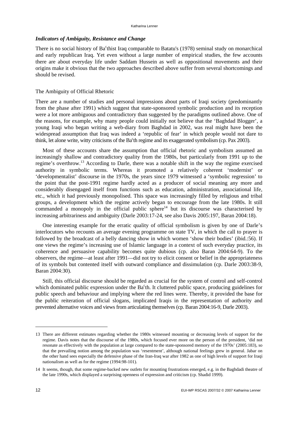# *Indicators of Ambiguity, Resistance and Change*

There is no social history of Ba<sup>c</sup>thist Iraq comparable to Batatu's (1978) seminal study on monarchical and early republican Iraq. Yet even without a large number of empirical studies, the few accounts there are about everyday life under Saddam Hussein as well as oppositional movements and their origins make it obvious that the two approaches described above suffer from several shortcomings and should be revised.

# The Ambiguity of Official Rhetoric

There are a number of studies and personal impressions about parts of Iraqi society (predominantly from the phase after 1991) which suggest that state-sponsored symbolic production and its reception were a lot more ambiguous and contradictory than suggested by the paradigms outlined above. One of the reasons, for example, why many people could initially not believe that the 'Baghdad Blogger', a young Iraqi who began writing a web-diary from Baghdad in 2002, was real might have been the widespread assumption that Iraq was indeed a 'republic of fear' in which people would not dare to think, let alone write, witty criticisms of the Ba<sup>c</sup>th regime and its exaggerated symbolism (cp. Pax 2003).

Most of these accounts share the assumption that official rhetoric and symbolism assumed an increasingly shallow and contradictory quality from the 1980s, but particularly from 1991 up to the regime's overthrow.13 According to Darle, there was a notable shift in the way the regime exercised authority in symbolic terms. Whereas it promoted a relatively coherent 'modernist' or 'developmentalist' discourse in the 1970s, the years since 1979 witnessed a 'symbolic regression' to the point that the post-1991 regime hardly acted as a producer of social meaning any more and considerably disengaged itself from functions such as education, administration, associational life, etc., which it had previously monopolised. This space was increasingly filled by religious and tribal groups, a development which the regime actively began to encourage from the late 1980s. It still commanded a monopoly in the official public sphere<sup>14</sup> but its discourse was characterised by increasing arbitrariness and ambiguity (Darle 2003:17-24, see also Davis 2005:197, Baran 2004:18).

One interesting example for the erratic quality of official symbolism is given by one of Darle's interlocutors who recounts an average evening programme on state TV, in which the call to prayer is followed by the broadcast of a belly dancing show in which women 'show their bodies' (ibid.:56). If one views the regime's increasing use of Islamic language in a context of such everyday practice, its coherence and persuasive capability becomes quite dubious (cp. also Baran 2004:64-9). To the observers, the regime—at least after 1991—did not try to elicit consent or belief in the appropriateness of its symbols but contented itself with outward compliance and dissimulation (cp. Darle 2003:38-9, Baran 2004:30).

Still, this official discourse should be regarded as crucial for the system of control and self-control which dominated public expression under the Ba<sup>c</sup>th. It cluttered public space, producing guidelines for public speech and behaviour and implying where the red lines were. Thereby, it provided the base for the public reiteration of official slogans, implicated Iraqis in the representation of authority and prevented alternative voices and views from articulating themselves (cp. Baran 2004:16-9, Darle 2003).

<sup>13</sup> There are different estimates regarding whether the 1980s witnessed mounting or decreasing levels of support for the regime. Davis notes that the discourse of the 1980s, which focused ever more on the person of the president, 'did not resonate as effectively with the population at large compared to the state-sponsored memory of the 1970s' (2005:183), so that the prevailing notion among the population was 'resentment', although national feelings grew in general. Jabar on the other hand sees especially the defensive phase of the Iran-Iraq war after 1982 as one of high levels of support for Iraqi nationalism as well as for the regime (1994:98-101).

<sup>14</sup> It seems, though, that some regime-backed new outlets for mounting frustrations emerged, e.g. in the Baghdadi theatre of the late 1990s, which displayed a surprising openness of expression and criticism (cp. Shadid 1999).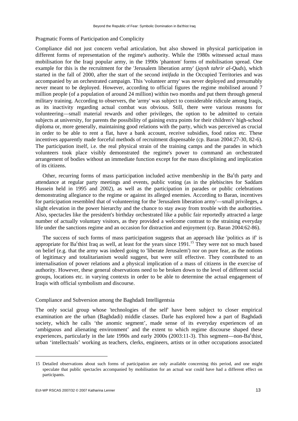# Pragmatic Forms of Participation and Complicity

Compliance did not just concern verbal articulation, but also showed in physical participation in different forms of representation of the regime's authority. While the 1980s witnessed actual mass mobilisation for the Iraqi popular army, in the 1990s 'phantom' forms of mobilisation spread. One example for this is the recruitment for the 'Jerusalem liberation army' (*jaysh tahrir al-Quds*), which started in the fall of 2000, after the start of the second *intifada* in the Occupied Territories and was accompanied by an orchestrated campaign. This 'volunteer army' was never deployed and presumably never meant to be deployed. However, according to official figures the regime mobilised around 7 million people (of a population of around 24 million) within two months and put them through general military training. According to observers, the 'army' was subject to considerable ridicule among Iraqis, as its inactivity regarding actual combat was obvious. Still, there were various reasons for volunteering—small material rewards and other privileges, the option to be admitted to certain subjects at university, for parents the possibility of gaining extra points for their children's' high-school diploma or, more generally, maintaining good relations with the party, which was perceived as crucial in order to be able to rent a flat, have a bank account, receive subsidies, food ratios etc. These incentives apparently made forceful methods of recruitment dispensable (cp. Baran 2004:27-30, 82-6). The participation itself, i.e. the real physical strain of the training camps and the parades in which volunteers took place visibly demonstrated the regime's power to command an orchestrated arrangement of bodies without an immediate function except for the mass disciplining and implication of its citizens.

Other, recurring forms of mass participation included active membership in the Ba<sup>c</sup>th party and attendance at regular party meetings and events, public voting (as in the plebiscites for Saddam Hussein held in 1995 and 2002), as well as the participation in parades or public celebrations demonstrating allegiance to the regime or against its alleged enemies. According to Baran, incentives for participation resembled that of volunteering for the 'Jerusalem liberation army'—small privileges, a slight elevation in the power hierarchy and the chance to stay away from trouble with the authorities. Also, spectacles like the president's birthday orchestrated like a public fair reportedly attracted a large number of actually voluntary visitors, as they provided a welcome contrast to the straining everyday life under the sanctions regime and an occasion for distraction and enjoyment (cp. Baran 2004:62-86).

The success of such forms of mass participation suggests that an approach like 'politics as if' is appropriate for Ba<sup>c</sup>thist Iraq as well, at least for the years since  $1991$ .<sup>15</sup> They were not so much based on belief (e.g. that the army was indeed going to 'liberate Jerusalem') nor on pure fear, as the notions of legitimacy and totalitarianism would suggest, but were still effective. They contributed to an internalisation of power relations and a physical implication of a mass of citizens in the exercise of authority. However, these general observations need to be broken down to the level of different social groups, locations etc. in varying contexts in order to be able to determine the actual engagement of Iraqis with official symbolism and discourse.

## Compliance and Subversion among the Baghdadi Intelligentsia

The only social group whose 'technologies of the self' have been subject to closer empirical examination are the urban (Baghdadi) middle classes. Darle has explored how a part of Baghdadi society, which he calls 'the anomic segment', made sense of its everyday experiences of an 'ambiguous and alienating environment' and the extent to which regime discourse shaped these experiences, particularly in the late 1990s and early 2000s (2003:11-3). This segment—non-Ba°thist, urban 'intellectuals' working as teachers, clerks, engineers, artists or in other occupations associated

<sup>15</sup> Detailed observations about such forms of participation are only available concerning this period, and one might speculate that public spectacles accompanied by mobilisation for an actual war could have had a different effect on participants.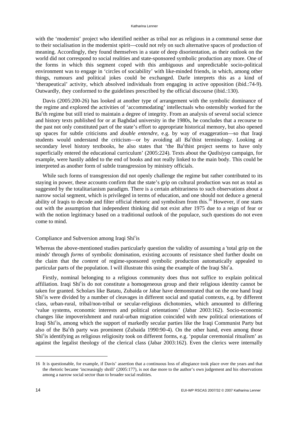with the 'modernist' project who identified neither as tribal nor as religious in a communal sense due to their socialisation in the modernist spirit—could not rely on such alternative spaces of production of meaning. Accordingly, they found themselves in a state of deep disorientation, as their outlook on the world did not correspond to social realities and state-sponsored symbolic production any more. One of the forms in which this segment coped with this ambiguous and unpredictable socio-political environment was to engage in 'circles of sociability' with like-minded friends, in which, among other things, rumours and political jokes could be exchanged. Darle interprets this as a kind of 'therapeutical' activity, which absolved individuals from engaging in active opposition (ibid.:74-9). Outwardly, they conformed to the guidelines prescribed by the official discourse (ibid.:130).

Davis (2005:200-26) has looked at another type of arrangement with the symbolic dominance of the regime and explored the activities of 'accommodating' intellectuals who ostensibly worked for the Ba<sup>c</sup>th regime but still tried to maintain a degree of integrity. From an analysis of several social science and history texts published for or at Baghdad university in the 1980s, he concludes that a recourse to the past not only constituted part of the state's effort to appropriate historical memory, but also opened up spaces for subtle criticisms and *double entendre*, e.g. by way of exaggeration—so that Iraqi students would understand the criticism-or by avoiding all Ba<sup>c</sup>thist terminology. Looking at secondary level history textbooks, he also states that 'the Ba<sup>c</sup>thist project seems to have only superficially entered the educational curriculum' (2005:224). Texts about the *Qadisiyya* campaign, for example, were hastily added to the end of books and not really linked to the main body. This could be interpreted as another form of subtle transgression by ministry officials.

While such forms of transgression did not openly challenge the regime but rather contributed to its staying in power, these accounts confirm that the state's grip on cultural production was not as total as suggested by the totalitarianism paradigm. There is a certain arbitrariness to such observations about a narrow social segment, which is privileged in terms of education, and one should not deduce a general ability of Iraqis to decode and filter official rhetoric and symbolism from this.16 However, if one starts out with the assumption that independent thinking did not exist after 1975 due to a reign of fear or with the notion legitimacy based on a traditional outlook of the populace, such questions do not even come to mind.

# Compliance and Subversion among Iraqi Shi°is

Whereas the above-mentioned studies particularly question the validity of assuming a 'total grip on the minds' through *forms* of symbolic domination, existing accounts of resistance shed further doubt on the claim that the *content* of regime-sponsored symbolic production automatically appealed to particular parts of the population. I will illustrate this using the example of the Iraqi Shi<sup>c</sup>a.

Firstly, nominal belonging to a religious community does thus not suffice to explain political affiliation. Iraqi Shi<sup>c</sup>is do not constitute a homogeneous group and their religious identity cannot be taken for granted. Scholars like Batatu, Zubaida or Jabar have demonstrated that on the one hand Iraqi Shi<sup>c</sup>is were divided by a number of cleavages in different social and spatial contexts, e.g. by different class, urban-rural, tribal/non-tribal or secular-religious dichotomies, which amounted to differing 'value systems, economic interests and political orientations' (Jabar 2003:162). Socio-economic changes like impoverishment and rural-urban migration coincided with new political orientations of Iraqi Shi°is, among which the support of markedly secular parties like the Iraqi Communist Party but also of the Ba<sup>c</sup>th party was prominent (Zubaida 1990:90-4). On the other hand, even among those Shi<sup>c</sup>is identifying as religious religiosity took on different forms, e.g. 'popular ceremonial ritualism' as against the legalist theology of the clerical class (Jabar 2003:162). Even the clerics were internally

<sup>16</sup> It is questionable, for example, if Davis' assertion that a continuous loss of allegiance took place over the years and that the rhetoric became 'increasingly shrill' (2005:177), is not due more to the author's own judgement and his observations among a narrow social sector than to broader social realities.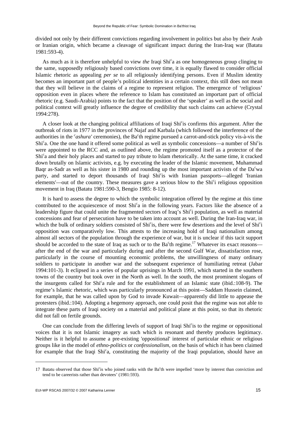divided not only by their different convictions regarding involvement in politics but also by their Arab or Iranian origin, which became a cleavage of significant impact during the Iran-Iraq war (Batatu 1981:593-4).

As much as it is therefore unhelpful to view *the* Iraqi Shi<sup>c</sup>a as one homogeneous group clinging to the same, supposedly religiously based convictions over time, it is equally flawed to consider official Islamic rhetoric as appealing *per se* to all religiously identifying persons. Even if Muslim identity becomes an important part of people's political identities in a certain context, this still does not mean that they will believe in the claims of a regime to represent religion. The emergence of 'religious' opposition even in places where the reference to Islam has constituted an important part of official rhetoric (e.g. Saudi-Arabia) points to the fact that the position of the 'speaker' as well as the social and political context will greatly influence the degree of credibility that such claims can achieve (Crystal 1994:278).

A closer look at the changing political affiliations of Iraqi Shi°is confirms this argument. After the outbreak of riots in 1977 in the provinces of Najaf and Karbala (which followed the interference of the authorities in the <sup>*c*</sup> *ashura'* ceremonies), the Ba<sup>c</sup>th regime pursued a carrot-and-stick policy vis-à-vis the Shi<sup>c</sup>a. One the one hand it offered some political as well as symbolic concessions—a number of Shi<sup>c</sup>is were appointed to the RCC and, as outlined above, the regime promoted itself as a protector of the Shi<sup>c</sup>a and their holy places and started to pay tribute to Islam rhetorically. At the same time, it cracked down brutally on Islamic activists, e.g. by executing the leader of the Islamic movement, Muhammad Baqr as-Sadr as well as his sister in 1980 and rounding up the most important activists of the  $Da<sup>c</sup>wa$ party, and started to deport thousands of Iraqi Shicis with Iranian passports—alleged 'Iranian elements'—out of the country. These measures gave a serious blow to the Shi<sup>c</sup>i religious opposition movement in Iraq (Batatu 1981:590-3, Bengio 1985: 8-12).

It is hard to assess the degree to which the symbolic integration offered by the regime at this time contributed to the acquiescence of most Shi<sup>c</sup>a in the following years. Factors like the absence of a leadership figure that could unite the fragmented sectors of Iraq's Shi<sup>c</sup>i population, as well as material concessions and fear of persecution have to be taken into account as well. During the Iran-Iraq war, in which the bulk of ordinary soldiers consisted of Shi<sup>c</sup>is, there were few desertions and the level of Shi<sup>c</sup>i opposition was comparatively low. This attests to the increasing hold of Iraqi nationalism among almost all sectors of the population through the experience of war, but it is unclear if this tacit support should be accorded to the state of Iraq as such or to the Ba<sup>c</sup>th regime.<sup>17</sup> Whatever its exact reasons after the end of the war and particularly during and after the second Gulf War, dissatisfaction rose, particularly in the course of mounting economic problems, the unwillingness of many ordinary soldiers to participate in another war and the subsequent experience of humiliating retreat (Jabar 1994:101-3). It eclipsed in a series of popular uprisings in March 1991, which started in the southern towns of the country but took over in the North as well. In the south, the most prominent slogans of the insurgents called for Shi<sup>c</sup>a rule and for the establishment of an Islamic state (ibid.:108-9). The regime's Islamic rhetoric, which was particularly pronounced at this point—Saddam Hussein claimed, for example, that he was called upon by God to invade Kuwait—apparently did little to appease the protesters (ibid.:104). Adopting a hegemony approach, one could posit that the regime was not able to integrate these parts of Iraqi society on a material and political plane at this point, so that its rhetoric did not fall on fertile grounds.

One can conclude from the differing levels of support of Iraqi Shi<sup>c</sup>is to the regime or oppositional voices that it is not Islamic imagery as such which is resonant and thereby produces legitimacy. Neither is it helpful to assume a pre-existing 'oppositional' interest of particular ethnic or religious groups like in the model of *ethno-politics* or *confessionalism,* on the basis of which it has been claimed for example that the Iraqi Shi<sup>c</sup>a, constituting the majority of the Iraqi population, should have an

<sup>17</sup> Batatu observed that those Shi<sup>c</sup>is who joined ranks with the Ba<sup>c</sup>th were impelled 'more by interest than conviction and tend to be careerists rather than devotees' (1981:593).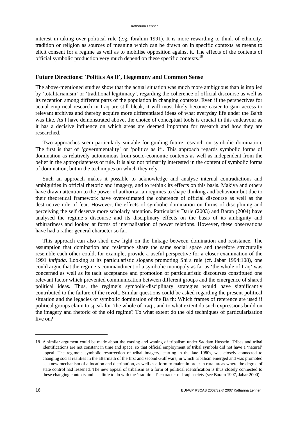interest in taking over political rule (e.g. Ibrahim 1991). It is more rewarding to think of ethnicity, tradition or religion as sources of meaning which can be drawn on in specific contexts as means to elicit consent for a regime as well as to mobilise opposition against it. The effects of the contents of official symbolic production very much depend on these specific contexts.<sup>18</sup>

# **Future Directions: 'Politics As If', Hegemony and Common Sense**

The above-mentioned studies show that the actual situation was much more ambiguous than is implied by 'totalitarianism' or 'traditional legitimacy', regarding the coherence of official discourse as well as its reception among different parts of the population in changing contexts. Even if the perspectives for actual empirical research in Iraq are still bleak, it will most likely become easier to gain access to relevant archives and thereby acquire more differentiated ideas of what everyday life under the Ba<sup>c</sup>th was like. As I have demonstrated above, the choice of conceptual tools is crucial in this endeavour as it has a decisive influence on which areas are deemed important for research and how they are researched.

Two approaches seem particularly suitable for guiding future research on symbolic domination. The first is that of 'governmentality' or 'politics as if'. This approach regards symbolic forms of domination as relatively autonomous from socio-economic contexts as well as independent from the belief in the appropriateness of rule. It is also not primarily interested in the content of symbolic forms of domination, but in the techniques on which they rely.

Such an approach makes it possible to acknowledge and analyse internal contradictions and ambiguities in official rhetoric and imagery, and to rethink its effects on this basis. Makiya and others have drawn attention to the power of authoritarian regimes to shape thinking and behaviour but due to their theoretical framework have overestimated the coherence of official discourse as well as the destructive role of fear. However, the effects of symbolic domination on forms of disciplining and perceiving the self deserve more scholarly attention. Particularly Darle (2003) and Baran (2004) have analysed the regime's discourse and its disciplinary effects on the basis of its ambiguity and arbitrariness and looked at forms of internalisation of power relations. However, these observations have had a rather general character so far.

This approach can also shed new light on the linkage between domination and resistance. The assumption that domination and resistance share the same social space and therefore structurally resemble each other could, for example, provide a useful perspective for a closer examination of the 1991 *intifada*. Looking at its particularistic slogans promoting Shi<sup>c</sup>a rule (cf. Jabar 1994:108), one could argue that the regime's commandment of a symbolic monopoly as far as 'the whole of Iraq' was concerned as well as its tacit acceptance and promotion of particularistic discourses constituted one relevant factor which prevented communication between different groups and the emergence of shared political ideas. Thus, the regime's symbolic-disciplinary strategies would have significantly contributed to the failure of the revolt. Similar questions could be asked regarding the present political situation and the legacies of symbolic domination of the Ba<sup>c</sup>th: Which frames of reference are used if political groups claim to speak for 'the whole of Iraq', and to what extent do such expressions build on the imagery and rhetoric of the old regime? To what extent do the old techniques of particularisation live on?

<sup>18</sup> A similar argument could be made about the waxing and waning of tribalism under Saddam Hussein. Tribes and tribal identifications are not constant in time and space, so that official employment of tribal symbols did not have a 'natural' appeal. The regime's symbolic resurrection of tribal imagery, starting in the late 1980s, was closely connected to changing social realities in the aftermath of the first and second Gulf wars, in which tribalism emerged and was promoted as a new mechanism of allocation and distribution, as well as a form to maintain order in rural areas where the degree of state control had lessened. The new appeal of tribalism as a form of political identification is thus closely connected to these changing contexts and has little to do with the 'traditional' character of Iraqi society (see Baram 1997, Jabar 2000).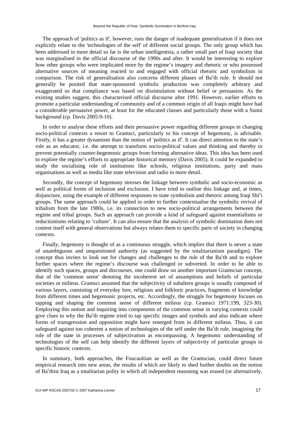The approach of 'politics as if', however, runs the danger of inadequate generalisation if it does not explicitly relate to the 'technologies of the self' of different social groups. The only group which has been addressed in more detail so far is the urban intelligentsia, a rather small part of Iraqi society that was marginalised in the official discourse of the 1990s and after. It would be interesting to explore how other groups who were implicated more by the regime's imagery and rhetoric or who possessed alternative sources of meaning reacted to and engaged with official rhetoric and symbolism in comparison. The risk of generalisation also concerns different phases of Ba<sup>c</sup>th rule. It should not generally be posited that state-sponsored symbolic production was completely arbitrary and exaggerated so that compliance was based on dissimulation without belief or persuasion. As the existing studies suggest, this characterised official discourse after 1991. However, earlier efforts to promote a particular understanding of community and of a common origin of all Iraqis might have had a considerable persuasive power, at least for the educated classes and particularly those with a Sunni background (cp. Davis 2005:9-10).

In order to analyse these efforts and their persuasive power regarding different groups in changing socio-political contexts a resort to Gramsci, particularly to his concept of hegemony, is advisable. Firstly, it has a greater dynamism than the notion of 'politics as if'. It can direct attention to the state's role as an educator, i.e. the attempt to transform socio-political values and thinking and thereby to prevent potentially counter-hegemonic groups from forming alternative ideas. This idea has been used to explore the regime's efforts to appropriate historical memory (Davis 2005). It could be expanded to study the socialising role of institutions like schools, religious institutions, party and mass organisations as well as media like state television and radio in more detail.

Secondly, the concept of hegemony stresses the linkage between symbolic and socio-economic as well as political forms of inclusion and exclusion. I have tried to outline this linkage and, at times, disjuncture, using the example of different responses to state symbolism and rhetoric among Iraqi Shi<sup>c</sup>i groups. The same approach could be applied in order to further contextualise the symbolic revival of tribalism from the late 1980s, i.e. its connection to new socio-political arrangements between the regime and tribal groups. Such an approach can provide a kind of safeguard against essentialisms or reductionisms relating to 'culture'. It can also ensure that the analysis of symbolic domination does not content itself with general observations but always relates them to specific parts of society in changing contexts.

Finally, hegemony is thought of as a continuous struggle, which implies that there is never a state of unambiguous and unquestioned authority (as suggested by the totalitarianism paradigm). The concept thus invites to look out for changes and challenges to the rule of the Ba<sup>c</sup>th and to explore further spaces where the regime's discourse was challenged or subverted. In order to be able to identify such spaces, groups and discourses, one could draw on another important Gramscian concept, that of the 'common sense' denoting the incoherent set of assumptions and beliefs of particular societies or milieus. Gramsci assumed that the subjectivity of subaltern groups is usually composed of various layers, consisting of everyday lore, religious and folkloric practices, fragments of knowledge from different times and hegemonic projects, etc. Accordingly, the struggle for hegemony focuses on tapping and shaping the common sense of different milieus (cp. Gramsci 1971:199, 323-30). Employing this notion and inquiring into components of the common sense in varying contexts could give clues to why the Ba<sup>c</sup>th regime tried to tap specific images and symbols and also indicate where forms of transgression and opposition might have emerged from in different milieus. Thus, it can safeguard against too coherent a notion of technologies of the self under the Ba<sup>c</sup>th rule, imagining the role of the state in processes of subjectivation as encompassing. A hegemonic understanding of technologies of the self can help identify the different layers of subjectivity of particular groups in specific historic contexts.

In summary, both approaches, the Foucaultian as well as the Gramscian, could direct future empirical research into new areas, the results of which are likely to shed further doubts on the notion of Ba<sup>c</sup>thist Iraq as a totalitarian polity in which all independent reasoning was erased (or alternatively,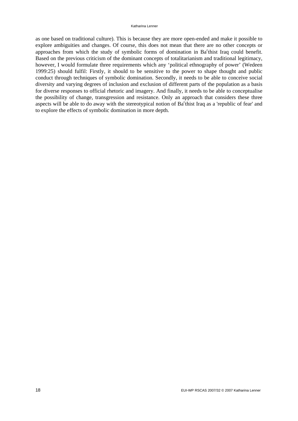as one based on traditional culture). This is because they are more open-ended and make it possible to explore ambiguities and changes. Of course, this does not mean that there are no other concepts or approaches from which the study of symbolic forms of domination in Ba<sup>c</sup>thist Iraq could benefit. Based on the previous criticism of the dominant concepts of totalitarianism and traditional legitimacy, however, I would formulate three requirements which any 'political ethnography of power' (Wedeen 1999:25) should fulfil: Firstly, it should to be sensitive to the power to shape thought and public conduct through techniques of symbolic domination. Secondly, it needs to be able to conceive social diversity and varying degrees of inclusion and exclusion of different parts of the population as a basis for diverse responses to official rhetoric and imagery. And finally, it needs to be able to conceptualise the possibility of change, transgression and resistance. Only an approach that considers these three aspects will be able to do away with the stereotypical notion of Ba<sup>c</sup>thist Iraq as a 'republic of fear' and to explore the effects of symbolic domination in more depth.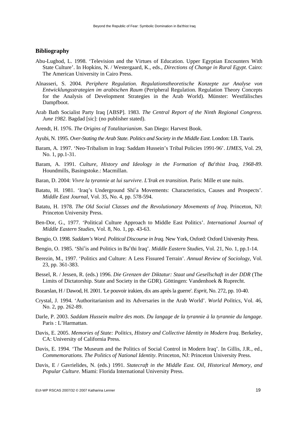## **Bibliography**

- Abu-Lughod, L. 1998. 'Television and the Virtues of Education. Upper Egyptian Encounters With State Culture'. In Hopkins, N. / Westergaard, K., eds., *Directions of Change in Rural Egypt*. Cairo: The American University in Cairo Press.
- Alnasseri, S. 2004. *Periphere Regulation. Regulationstheoretische Konzepte zur Analyse von Entwicklungsstrategien im arabischen Raum* (Peripheral Regulation. Regulation Theory Concepts for the Analysis of Development Strategies in the Arab World). Münster: Westfälisches Dampfboot.
- Arab Bath Socialist Party Iraq [ABSP]. 1983. *The Central Report of the Ninth Regional Congress. June 1982*. Bagdad [sic]: (no publisher stated).
- Arendt, H. 1976. *The Origins of Totalitarianism*. San Diego: Harvest Book.
- Ayubi, N. 1995. *Over-Stating the Arab State. Politics and Society in the Middle East*. London: I.B. Tauris.
- Baram, A. 1997. 'Neo-Tribalism in Iraq: Saddam Hussein's Tribal Policies 1991-96'. *IJMES,* Vol. 29, No. 1, pp.1-31.
- Baram, A. 1991. *Culture, History and Ideology in the Formation of Ba<sup>c</sup>thist Iraq, 1968-89*. Houndmills, Basingstoke.: Macmillan.
- Baran, D. 2004: *Vivre la tyrannie at lui survivre. L'Irak en transition*. Paris: Mille et une nuits.
- Batatu, H. 1981. 'Iraq's Underground Shi<sup>c</sup>a Movements: Characteristics, Causes and Prospects'. *Middle East Journal*, Vol. 35, No. 4, pp. 578-594.
- Batatu, H. 1978. *The Old Social Classes and the Revolutionary Movements of Iraq*. Princeton, NJ: Princeton University Press.
- Ben-Dor, G., 1977. 'Political Culture Approach to Middle East Politics'. *International Journal of Middle Eastern Studies*, Vol. 8, No. 1, pp. 43-63.
- Bengio, O. 1998. *Saddam's Word. Political Discourse in Iraq*. New York, Oxford: Oxford University Press.
- Bengio, O. 1985. 'Shi<sup>c</sup>is and Politics in Ba<sup>c</sup>thi Iraq'. *Middle Eastern Studies*, Vol. 21, No. 1, pp.1-14.
- Berezin, M., 1997. 'Politics and Culture: A Less Fissured Terrain'. *Annual Review of Sociology*, Vol. 23, pp. 361-383.
- Bessel, R. / Jessen, R. (eds.) 1996. *Die Grenzen der Diktatur: Staat und Gesellschaft in der DDR* (The Limits of Dictatorship. State and Society in the GDR). Göttingen: Vandenhoek & Ruprecht.
- Bozarslan, H / Dawod, H. 2001. 'Le pouvoir irakien, dix ans après la guerre'. *Esprit,* No. 272, pp. 10-40.
- Crystal, J. 1994. 'Authoritarianism and its Adversaries in the Arab World'. *World Politics*, Vol. 46, No. 2, pp. 262-89.
- Darle, P. 2003. *Saddam Hussein maître des mots. Du langage de la tyrannie à la tyrannie du langage*. Paris : L'Harmattan.
- Davis, E. 2005. *Memories of State: Politics, History and Collective Identity in Modern Iraq*. Berkeley, CA: University of California Press.
- Davis, E. 1994. 'The Museum and the Politics of Social Control in Modern Iraq'. In Gillis, J.R., ed., *Commemorations. The Politics of National Identity*. Princeton, NJ: Princeton University Press.
- Davis, E / Gavrielides, N. (eds.) 1991. *Statecraft in the Middle East. Oil, Historical Memory, and Popular Culture*. Miami: Florida International University Press.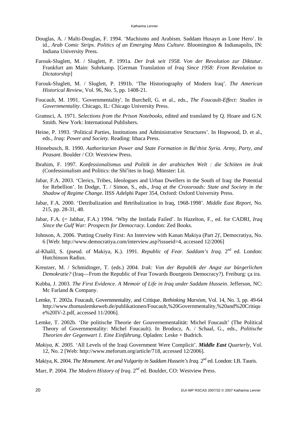- Douglas, A. / Malti-Douglas, F. 1994. 'Machismo and Arabism. Saddam Husayn as Lone Hero'. In id., *Arab Comic Strips. Politics of an Emerging Mass Culture*. Bloomington & Indianapolis, IN: Indiana University Press.
- Farouk-Sluglett, M. / Sluglett, P. 1991a. *Der Irak seit 1958. Von der Revolution zur Diktatur*. Frankfurt am Main: Suhrkamp. [German Translation of *Iraq Since 1958: From Revolution to Dictatorship*]
- Farouk-Sluglett, M. / Sluglett, P. 1991b. 'The Historiography of Modern Iraq'. *The American Historical Review*, Vol. 96, No. 5, pp. 1408-21.
- Foucault, M. 1991. 'Governmentality'. In Burchell, G. et al., eds., *The Foucault-Effect: Studies in Governmentality*. Chicago, IL: Chicago University Press.
- Gramsci, A. 1971. *Selections from the Prison Notebooks*, edited and translated by Q. Hoare and G.N. Smith. New York: International Publishers.
- Heine, P. 1993. 'Political Parties, Institutions and Administrative Structures'. In Hopwood, D. et al., eds., *Iraq: Power and Society*. Reading: Ithaca Press.
- Hinnebusch, R. 1990. Authoritarian Power and State Formation in Ba<sup>c</sup>thist Syria. Army, Party, and *Peasant*. Boulder / CO: Westview Press.
- Ibrahim, F. 1997. *Konfessionalismus und Politik in der arabischen Welt : die Schiiten im Irak* (Confessionalism and Politics: the Shi<sup>c</sup>ites in Iraq). Münster: Lit.
- Jabar, F.A. 2003. 'Clerics, Tribes, Ideologues and Urban Dwellers in the South of Iraq: the Potential for Rebellion'. In Dodge, T. / Simon, S., eds., *Iraq at the Crossroads: State and Society in the Shadow of Regime Change*. IISS Adelphi Paper 354, Oxford: Oxford University Press.
- Jabar, F.A. 2000. 'Detribalization and Retribalization in Iraq, 1968-1998'. *Middle East Report*, No. 215, pp. 28-31, 48.
- Jabar, F.A. (= Jabbar, F.A.) 1994. 'Why the Intifada Failed'. In Hazelton, F., ed. for CADRI, *Iraq Since the Gulf War: Prospects for Democracy*. London: Zed Books.
- Johnson, A. 2006. 'Putting Cruelty First: An Interview with Kanan Makiya (Part 2)', Democratiya, No. 6 [Web: [http://www.democratiya.com/interview.asp?issueid=4,](http://www.democratiya.com/interview.asp?issueid=4) accessed 12/2006]
- al-Khalil, S. (pseud. of Makiya, K.). 1991. *Republic of Fear. Saddam's Iraq*. 2nd ed. London: Hutchinson Radius.
- Kreutzer, M. / Schmidinger, T. (eds.) 2004. *Irak: Von der Republik der Angst zur bürgerlichen Demokratie?* (Iraq—From the Republic of Fear Towards Bourgeois Democracy?). Freiburg: ça ira.
- Kubba, J. 2003. *The First Evidence. A Memoir of Life in Iraq under Saddam Hussein*. Jefferson, NC: Mc Farland & Company.
- Lemke, T. 2002a. Foucault, Governmentality, and Critique. *Rethinking Marxism*, Vol. 14, No. 3, pp. 49-64 <http://www.thomaslemkeweb.de/publikationen/Foucault,%20Governmentality,%20and%20Critiqu> e%20IV-2.pdf, accessed 11/2006].
- Lemke, T. 2002b. 'Die politische Theorie der Gouvernementalität: Michel Foucault' (The Political Theory of Governmentality: Michel Foucault). In Brodocz, A. / Schaal, G., eds., *Politische Theorien der Gegenwart 1. Eine Einführung*. Opladen: Leske + Budrich.
- *Makiya, K. 2005.* 'All Levels of the Iraqi Government Were Complicit'. *Middle East Quarterly*, Vol. 12, No. 2 [Web: [http://www.meforum.org/article/718,](http://www.meforum.org/article/718) accessed 12/2006].
- Makiya, K. 2004. *The Monument. Art and Vulgarity in Saddam Hussein's Iraq.* 2<sup>nd</sup> ed. London: I.B. Tauris.
- Marr, P. 2004. *The Modern History of Iraq*. 2nd ed. Boulder, CO: Westview Press.